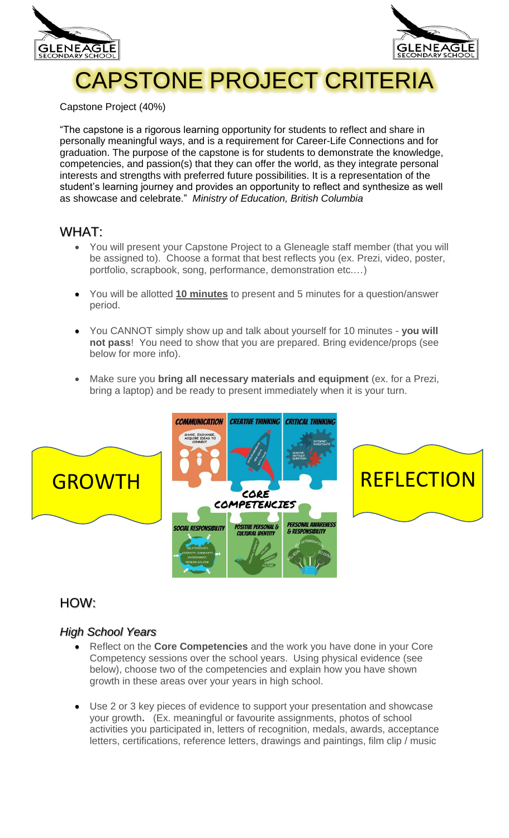



# CAPSTONE PROJECT CRITERIA

Capstone Project (40%)

"The capstone is a rigorous learning opportunity for students to reflect and share in personally meaningful ways, and is a requirement for Career-Life Connections and for graduation. The purpose of the capstone is for students to demonstrate the knowledge, competencies, and passion(s) that they can offer the world, as they integrate personal interests and strengths with preferred future possibilities. It is a representation of the student's learning journey and provides an opportunity to reflect and synthesize as well as showcase and celebrate." *Ministry of Education, British Columbia*

## WHAT:

- You will present your Capstone Project to a Gleneagle staff member (that you will be assigned to). Choose a format that best reflects you (ex. Prezi, video, poster, portfolio, scrapbook, song, performance, demonstration etc.…)
- You will be allotted **10 minutes** to present and 5 minutes for a question/answer period.
- You CANNOT simply show up and talk about yourself for 10 minutes **you will not pass**! You need to show that you are prepared. Bring evidence/props (see below for more info).
- Make sure you **bring all necessary materials and equipment** (ex. for a Prezi, bring a laptop) and be ready to present immediately when it is your turn.



# HOW:

## *High School Years*

- Reflect on the **Core Competencies** and the work you have done in your Core Competency sessions over the school years. Using physical evidence (see below), choose two of the competencies and explain how you have shown growth in these areas over your years in high school.
- Use 2 or 3 key pieces of evidence to support your presentation and showcase your growth**.** (Ex. meaningful or favourite assignments, photos of school activities you participated in, letters of recognition, medals, awards, acceptance letters, certifications, reference letters, drawings and paintings, film clip / music